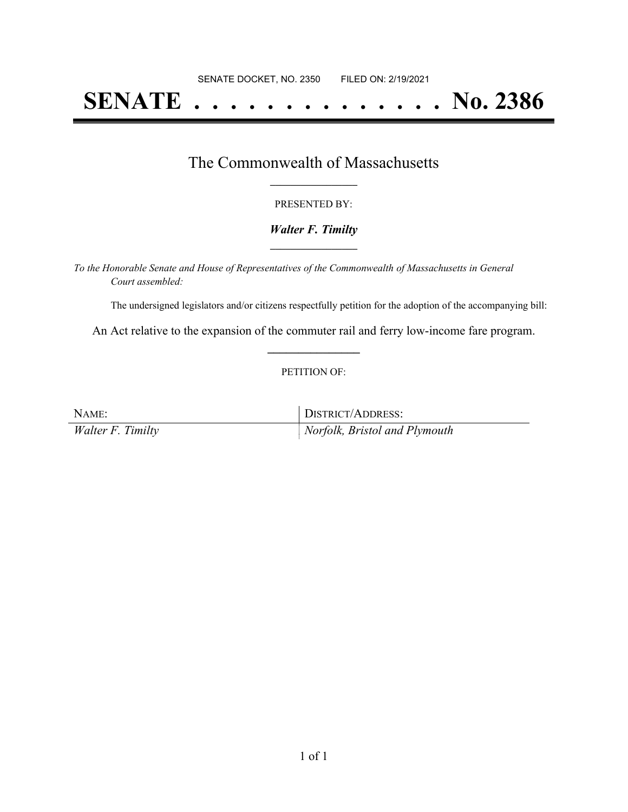# **SENATE . . . . . . . . . . . . . . No. 2386**

## The Commonwealth of Massachusetts **\_\_\_\_\_\_\_\_\_\_\_\_\_\_\_\_\_**

#### PRESENTED BY:

#### *Walter F. Timilty* **\_\_\_\_\_\_\_\_\_\_\_\_\_\_\_\_\_**

*To the Honorable Senate and House of Representatives of the Commonwealth of Massachusetts in General Court assembled:*

The undersigned legislators and/or citizens respectfully petition for the adoption of the accompanying bill:

An Act relative to the expansion of the commuter rail and ferry low-income fare program. **\_\_\_\_\_\_\_\_\_\_\_\_\_\_\_**

#### PETITION OF:

| NAME:             | DISTRICT/ADDRESS:             |
|-------------------|-------------------------------|
| Walter F. Timilty | Norfolk, Bristol and Plymouth |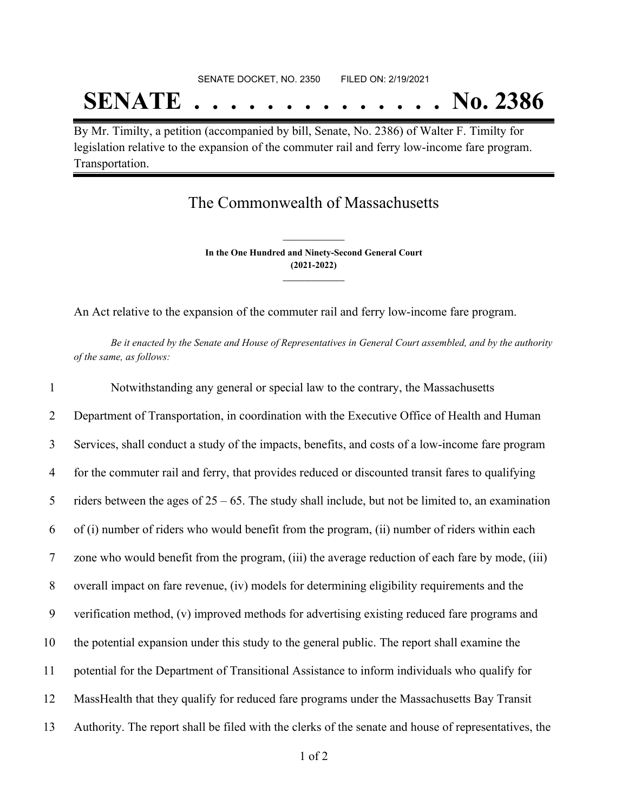# SENATE DOCKET, NO. 2350 FILED ON: 2/19/2021 **SENATE . . . . . . . . . . . . . . No. 2386**

By Mr. Timilty, a petition (accompanied by bill, Senate, No. 2386) of Walter F. Timilty for legislation relative to the expansion of the commuter rail and ferry low-income fare program. Transportation.

### The Commonwealth of Massachusetts

**In the One Hundred and Ninety-Second General Court (2021-2022) \_\_\_\_\_\_\_\_\_\_\_\_\_\_\_**

**\_\_\_\_\_\_\_\_\_\_\_\_\_\_\_**

An Act relative to the expansion of the commuter rail and ferry low-income fare program.

Be it enacted by the Senate and House of Representatives in General Court assembled, and by the authority *of the same, as follows:*

 Notwithstanding any general or special law to the contrary, the Massachusetts Department of Transportation, in coordination with the Executive Office of Health and Human Services, shall conduct a study of the impacts, benefits, and costs of a low-income fare program for the commuter rail and ferry, that provides reduced or discounted transit fares to qualifying 5 riders between the ages of  $25 - 65$ . The study shall include, but not be limited to, an examination of (i) number of riders who would benefit from the program, (ii) number of riders within each zone who would benefit from the program, (iii) the average reduction of each fare by mode, (iii) overall impact on fare revenue, (iv) models for determining eligibility requirements and the verification method, (v) improved methods for advertising existing reduced fare programs and the potential expansion under this study to the general public. The report shall examine the potential for the Department of Transitional Assistance to inform individuals who qualify for MassHealth that they qualify for reduced fare programs under the Massachusetts Bay Transit Authority. The report shall be filed with the clerks of the senate and house of representatives, the